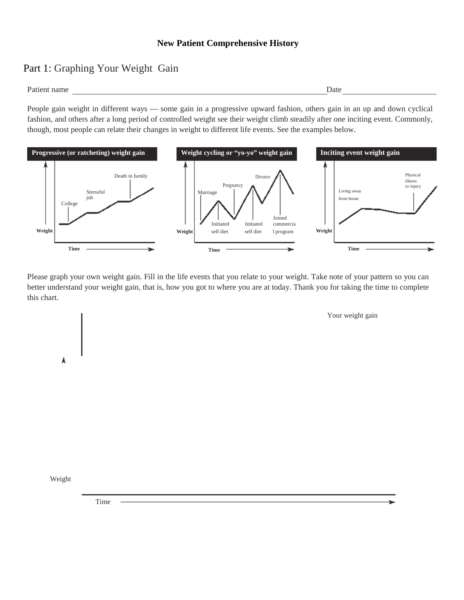## **New Patient Comprehensive History**

## Part 1: Graphing Your Weight Gain

Patient name Date Date of the United States and the Date Date of the United States and Date Date of the United States and Date of the United States and Date of the United States and Date of the United States and Date of th

People gain weight in different ways — some gain in a progressive upward fashion, others gain in an up and down cyclical fashion, and others after a long period of controlled weight see their weight climb steadily after one inciting event. Commonly, though, most people can relate their changes in weight to different life events. See the examples below.



Please graph your own weight gain. Fill in the life events that you relate to your weight. Take note of your pattern so you can better understand your weight gain, that is, how you got to where you are at today. Thank you for taking the time to complete this chart.

Your weight gain

Weight

Á

Time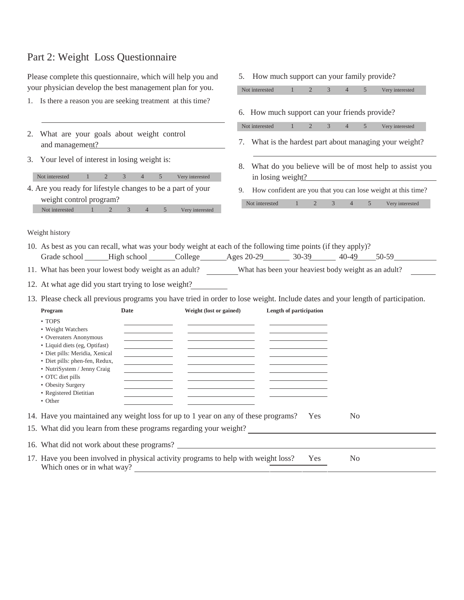## Part 2: Weight Loss Questionnaire

Please complete this questionnaire, which will help you and your physician develop the best management plan for you.

- 1. Is there a reason you are seeking treatment at this time?
- 2. What are your goals about weight control and management?
- 3. Your level of interest in losing weight is:

| Not interested                                              |  | $4 \quad 5 \quad$ | Very interested |
|-------------------------------------------------------------|--|-------------------|-----------------|
| 4. Are you ready for lifestyle changes to be a part of your |  |                   |                 |

| weight control program? |  |  |  |  |  |                 |  |  |
|-------------------------|--|--|--|--|--|-----------------|--|--|
| Not interested          |  |  |  |  |  | Very interested |  |  |

Not interested 1 2 3 4 5 Very interested 6. How much support can your friends provide? Not interested 1 2 3 4 5 Very interested 7. What is the hardest part about managing your weight? 8. What do you believe will be of most help to assist you in losing weight? 9. How confident are you that you can lose weight at this time? Not interested 1 2 3 4 5 Very interested

5. How much support can your family provide?

Weight history

- 10. As best as you can recall, what was your body weight at each of the following time points (if they apply)? Grade school \_\_\_\_\_\_High school \_\_\_\_\_\_\_College \_\_\_\_\_\_\_Ages 20-29 \_\_\_\_\_\_\_\_\_ 30-39 \_\_\_\_\_\_ 40-49 \_\_\_\_ 50-59
- 11. What has been your lowest body weight as an adult? What has been your heaviest body weight as an adult?

12. At what age did you start trying to lose weight?

13. Please check all previous programs you have tried in order to lose weight. Include dates and your length of participation.

| Program                        | Date                                   | Weight (lost or gained)                                                                                               | Length of participation |                |  |
|--------------------------------|----------------------------------------|-----------------------------------------------------------------------------------------------------------------------|-------------------------|----------------|--|
| $\cdot$ TOPS                   |                                        |                                                                                                                       |                         |                |  |
| • Weight Watchers              |                                        |                                                                                                                       |                         |                |  |
| • Overeaters Anonymous         |                                        |                                                                                                                       |                         |                |  |
| • Liquid diets (eg, Optifast)  |                                        | <u> De la Carlo de la Carlo de la Carlo de la Carlo de la Carlo de la Carlo de la Carlo de la Carlo de la Carlo d</u> |                         |                |  |
| • Diet pills: Meridia, Xenical |                                        | <u> 1989 - John Harry Barn, mars and de la partie de la partie de la partie de la partie de la partie de la part</u>  |                         |                |  |
| • Diet pills: phen-fen, Redux, | <u> 1989 - Alexandr Alexandr III (</u> |                                                                                                                       |                         |                |  |
| • NutriSystem / Jenny Craig    |                                        |                                                                                                                       |                         |                |  |
| • OTC diet pills               |                                        |                                                                                                                       |                         |                |  |
| • Obesity Surgery              |                                        |                                                                                                                       |                         |                |  |
| • Registered Dietitian         |                                        |                                                                                                                       |                         |                |  |
| • Other                        |                                        |                                                                                                                       |                         |                |  |
|                                |                                        | 14. Have you maintained any weight loss for up to 1 year on any of these programs?                                    | Yes                     | No.            |  |
|                                |                                        | 15. What did you learn from these programs regarding your weight?                                                     |                         |                |  |
|                                |                                        | 16. What did not work about these programs?                                                                           |                         |                |  |
| Which ones or in what way?     |                                        | 17. Have you been involved in physical activity programs to help with weight loss?                                    | Yes                     | N <sub>0</sub> |  |